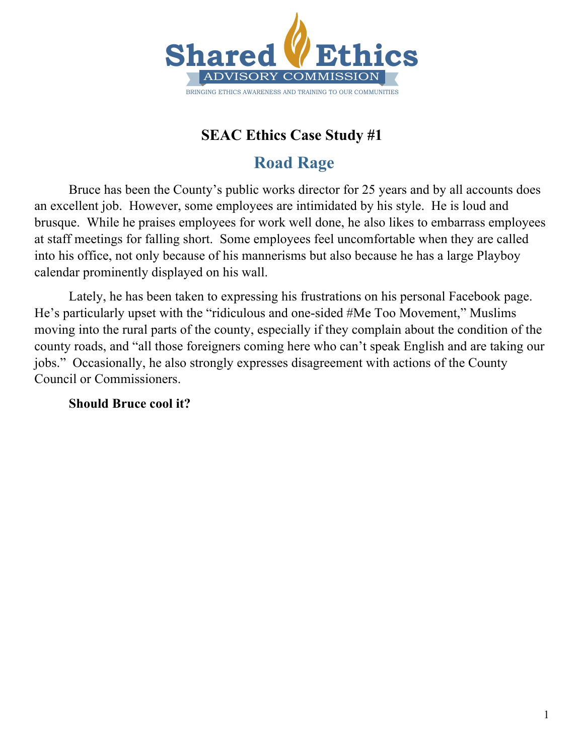

# **Road Rage**

Bruce has been the County's public works director for 25 years and by all accounts does an excellent job. However, some employees are intimidated by his style. He is loud and brusque. While he praises employees for work well done, he also likes to embarrass employees at staff meetings for falling short. Some employees feel uncomfortable when they are called into his office, not only because of his mannerisms but also because he has a large Playboy calendar prominently displayed on his wall.

Lately, he has been taken to expressing his frustrations on his personal Facebook page. He's particularly upset with the "ridiculous and one-sided #Me Too Movement," Muslims moving into the rural parts of the county, especially if they complain about the condition of the county roads, and "all those foreigners coming here who can't speak English and are taking our jobs." Occasionally, he also strongly expresses disagreement with actions of the County Council or Commissioners.

**Should Bruce cool it?**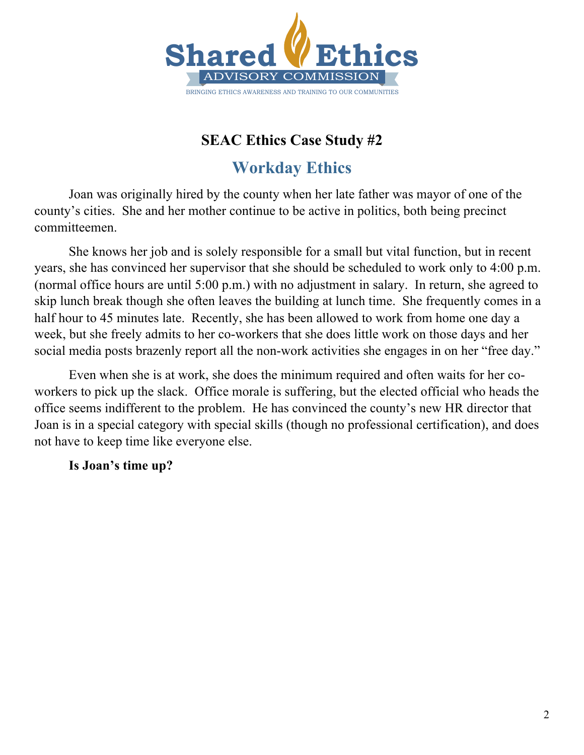

# **Shared Ethics Workday Ethics**

 $\overline{A}$  and  $\overline{A}$  and  $\overline{A}$  and  $\overline{A}$  and  $\overline{A}$  and  $\overline{A}$  and  $\overline{A}$  and  $\overline{A}$  and  $\overline{A}$  and  $\overline{A}$  and  $\overline{A}$  and  $\overline{A}$  and  $\overline{A}$  and  $\overline{A}$  and  $\overline{A}$  and  $\overline{A}$  and  $\overline{A}$  and Joan was originally hired by the county when her late father was mayor of one of the county's cities. She and her mother continue to be active in politics, both being precinct committeemen.

She knows her job and is solely responsible for a small but vital function, but in recent years, she has convinced her supervisor that she should be scheduled to work only to 4:00 p.m. (normal office hours are until 5:00 p.m.) with no adjustment in salary. In return, she agreed to skip lunch break though she often leaves the building at lunch time. She frequently comes in a half hour to 45 minutes late. Recently, she has been allowed to work from home one day a week, but she freely admits to her co-workers that she does little work on those days and her social media posts brazenly report all the non-work activities she engages in on her "free day."

Even when she is at work, she does the minimum required and often waits for her coworkers to pick up the slack. Office morale is suffering, but the elected official who heads the office seems indifferent to the problem. He has convinced the county's new HR director that Joan is in a special category with special skills (though no professional certification), and does not have to keep time like everyone else.

**Is Joan's time up?**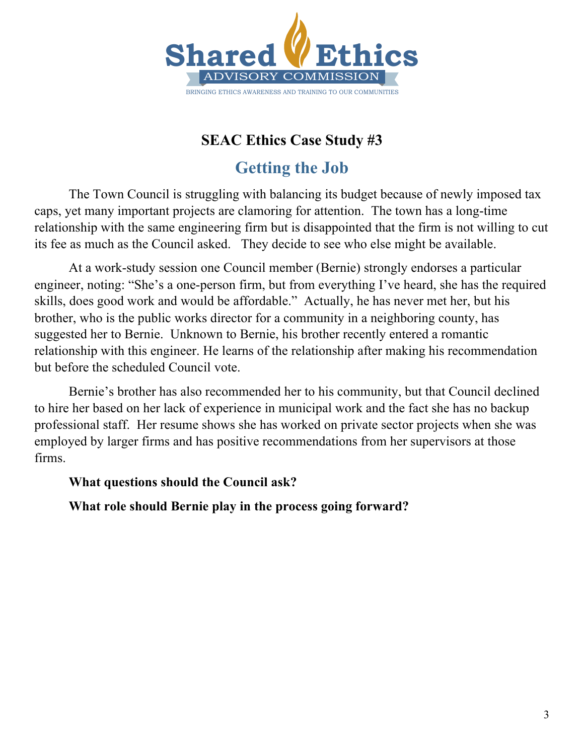

# **Getting the Job**

 $\mathbf{A}$ The Town Council is struggling with balancing its budget because of newly imposed tax caps, yet many important projects are clamoring for attention. The town has a long-time relationship with the same engineering firm but is disappointed that the firm is not willing to cut its fee as much as the Council asked. They decide to see who else might be available.

At a work-study session one Council member (Bernie) strongly endorses a particular engineer, noting: "She's a one-person firm, but from everything I've heard, she has the required skills, does good work and would be affordable." Actually, he has never met her, but his brother, who is the public works director for a community in a neighboring county, has suggested her to Bernie. Unknown to Bernie, his brother recently entered a romantic relationship with this engineer. He learns of the relationship after making his recommendation but before the scheduled Council vote.

Bernie's brother has also recommended her to his community, but that Council declined to hire her based on her lack of experience in municipal work and the fact she has no backup professional staff. Her resume shows she has worked on private sector projects when she was employed by larger firms and has positive recommendations from her supervisors at those firms.

#### **What questions should the Council ask?**

**What role should Bernie play in the process going forward?**